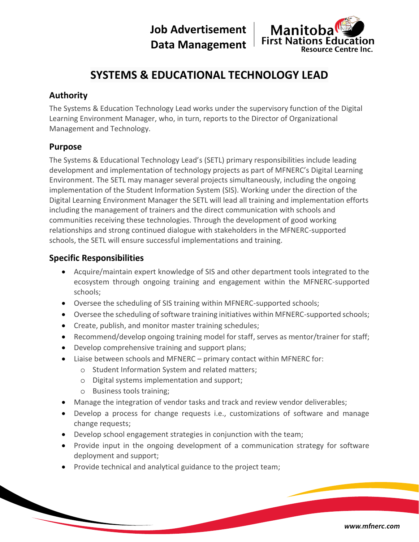**Job Advertisement Data Management**



# **SYSTEMS & EDUCATIONAL TECHNOLOGY LEAD**

## **Authority**

The Systems & Education Technology Lead works under the supervisory function of the Digital Learning Environment Manager, who, in turn, reports to the Director of Organizational Management and Technology.

#### **Purpose**

The Systems & Educational Technology Lead's (SETL) primary responsibilities include leading development and implementation of technology projects as part of MFNERC's Digital Learning Environment. The SETL may manager several projects simultaneously, including the ongoing implementation of the Student Information System (SIS). Working under the direction of the Digital Learning Environment Manager the SETL will lead all training and implementation efforts including the management of trainers and the direct communication with schools and communities receiving these technologies. Through the development of good working relationships and strong continued dialogue with stakeholders in the MFNERC-supported schools, the SETL will ensure successful implementations and training.

## **Specific Responsibilities**

- Acquire/maintain expert knowledge of SIS and other department tools integrated to the ecosystem through ongoing training and engagement within the MFNERC-supported schools;
- Oversee the scheduling of SIS training within MFNERC-supported schools;
- Oversee the scheduling of software training initiatives within MFNERC-supported schools;
- Create, publish, and monitor master training schedules;
- Recommend/develop ongoing training model for staff, serves as mentor/trainer for staff;
- Develop comprehensive training and support plans;
- Liaise between schools and MFNERC primary contact within MFNERC for:
	- o Student Information System and related matters;
	- o Digital systems implementation and support;
	- o Business tools training;
- Manage the integration of vendor tasks and track and review vendor deliverables;
- Develop a process for change requests i.e., customizations of software and manage change requests;
- Develop school engagement strategies in conjunction with the team;
- Provide input in the ongoing development of a communication strategy for software deployment and support;
- Provide technical and analytical guidance to the project team;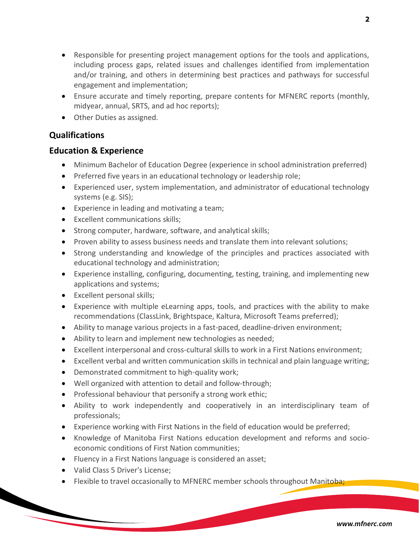- Responsible for presenting project management options for the tools and applications, including process gaps, related issues and challenges identified from implementation and/or training, and others in determining best practices and pathways for successful engagement and implementation;
- Ensure accurate and timely reporting, prepare contents for MFNERC reports (monthly, midyear, annual, SRTS, and ad hoc reports);
- Other Duties as assigned.

#### **Qualifications**

#### **Education & Experience**

- Minimum Bachelor of Education Degree (experience in school administration preferred)
- Preferred five years in an educational technology or leadership role;
- Experienced user, system implementation, and administrator of educational technology systems (e.g. SIS);
- Experience in leading and motivating a team;
- Excellent communications skills;
- Strong computer, hardware, software, and analytical skills;
- Proven ability to assess business needs and translate them into relevant solutions;
- Strong understanding and knowledge of the principles and practices associated with educational technology and administration;
- Experience installing, configuring, documenting, testing, training, and implementing new applications and systems;
- Excellent personal skills;
- Experience with multiple eLearning apps, tools, and practices with the ability to make recommendations (ClassLink, Brightspace, Kaltura, Microsoft Teams preferred);
- Ability to manage various projects in a fast-paced, deadline-driven environment;
- Ability to learn and implement new technologies as needed;
- Excellent interpersonal and cross-cultural skills to work in a First Nations environment;
- Excellent verbal and written communication skills in technical and plain language writing;
- Demonstrated commitment to high-quality work;
- Well organized with attention to detail and follow-through;
- Professional behaviour that personify a strong work ethic;
- Ability to work independently and cooperatively in an interdisciplinary team of professionals;
- Experience working with First Nations in the field of education would be preferred;
- Knowledge of Manitoba First Nations education development and reforms and socioeconomic conditions of First Nation communities;
- Fluency in a First Nations language is considered an asset;
- Valid Class 5 Driver's License;
- Flexible to travel occasionally to MFNERC member schools throughout Manitoba;